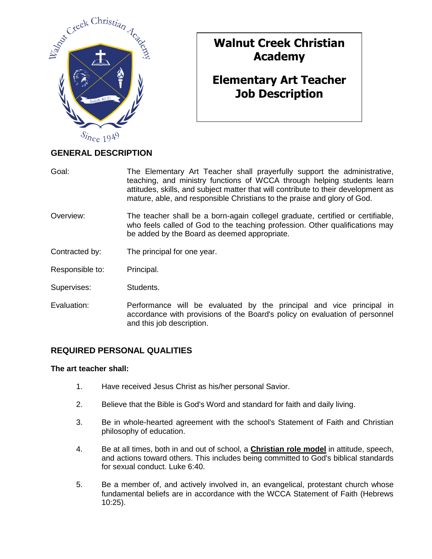

# **Walnut Creek Christian Academy**

# **Elementary Art Teacher Job Description**

## **GENERAL DESCRIPTION**

- Goal: The Elementary Art Teacher shall prayerfully support the administrative, teaching, and ministry functions of WCCA through helping students learn attitudes, skills, and subject matter that will contribute to their development as mature, able, and responsible Christians to the praise and glory of God.
- Overview: The teacher shall be a born-again collegel graduate, certified or certifiable, who feels called of God to the teaching profession. Other qualifications may be added by the Board as deemed appropriate.
- Contracted by: The principal for one year.
- Responsible to: Principal.
- Supervises: Students.
- Evaluation: Performance will be evaluated by the principal and vice principal in accordance with provisions of the Board's policy on evaluation of personnel and this job description.

## **REQUIRED PERSONAL QUALITIES**

#### **The art teacher shall:**

- 1. Have received Jesus Christ as his/her personal Savior.
- 2. Believe that the Bible is God's Word and standard for faith and daily living.
- 3. Be in whole-hearted agreement with the school's Statement of Faith and Christian philosophy of education.
- 4. Be at all times, both in and out of school, a **Christian role model** in attitude, speech, and actions toward others. This includes being committed to God's biblical standards for sexual conduct. Luke 6:40.
- 5. Be a member of, and actively involved in, an evangelical, protestant church whose fundamental beliefs are in accordance with the WCCA Statement of Faith (Hebrews 10:25).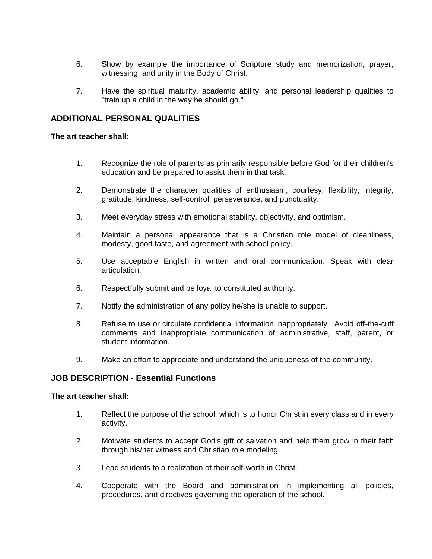- 6. Show by example the importance of Scripture study and memorization, prayer, witnessing, and unity in the Body of Christ.
- 7. Have the spiritual maturity, academic ability, and personal leadership qualities to "train up a child in the way he should go."

### **ADDITIONAL PERSONAL QUALITIES**

#### **The art teacher shall:**

- 1. Recognize the role of parents as primarily responsible before God for their children's education and be prepared to assist them in that task.
- 2. Demonstrate the character qualities of enthusiasm, courtesy, flexibility, integrity, gratitude, kindness, self-control, perseverance, and punctuality.
- 3. Meet everyday stress with emotional stability, objectivity, and optimism.
- 4. Maintain a personal appearance that is a Christian role model of cleanliness, modesty, good taste, and agreement with school policy.
- 5. Use acceptable English in written and oral communication. Speak with clear articulation.
- 6. Respectfully submit and be loyal to constituted authority.
- 7. Notify the administration of any policy he/she is unable to support.
- 8. Refuse to use or circulate confidential information inappropriately. Avoid off-the-cuff comments and inappropriate communication of administrative, staff, parent, or student information.
- 9. Make an effort to appreciate and understand the uniqueness of the community.

## **JOB DESCRIPTION - Essential Functions**

#### **The art teacher shall:**

- 1. Reflect the purpose of the school, which is to honor Christ in every class and in every activity.
- 2. Motivate students to accept God's gift of salvation and help them grow in their faith through his/her witness and Christian role modeling.
- 3. Lead students to a realization of their self-worth in Christ.
- 4. Cooperate with the Board and administration in implementing all policies, procedures, and directives governing the operation of the school.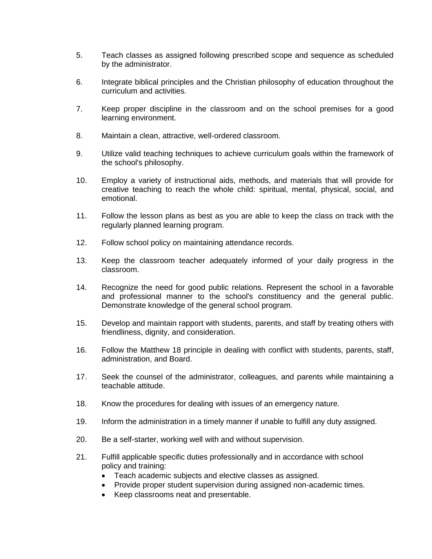- 5. Teach classes as assigned following prescribed scope and sequence as scheduled by the administrator.
- 6. Integrate biblical principles and the Christian philosophy of education throughout the curriculum and activities.
- 7. Keep proper discipline in the classroom and on the school premises for a good learning environment.
- 8. Maintain a clean, attractive, well-ordered classroom.
- 9. Utilize valid teaching techniques to achieve curriculum goals within the framework of the school's philosophy.
- 10. Employ a variety of instructional aids, methods, and materials that will provide for creative teaching to reach the whole child: spiritual, mental, physical, social, and emotional.
- 11. Follow the lesson plans as best as you are able to keep the class on track with the regularly planned learning program.
- 12. Follow school policy on maintaining attendance records.
- 13. Keep the classroom teacher adequately informed of your daily progress in the classroom.
- 14. Recognize the need for good public relations. Represent the school in a favorable and professional manner to the school's constituency and the general public. Demonstrate knowledge of the general school program.
- 15. Develop and maintain rapport with students, parents, and staff by treating others with friendliness, dignity, and consideration.
- 16. Follow the Matthew 18 principle in dealing with conflict with students, parents, staff, administration, and Board.
- 17. Seek the counsel of the administrator, colleagues, and parents while maintaining a teachable attitude.
- 18. Know the procedures for dealing with issues of an emergency nature.
- 19. Inform the administration in a timely manner if unable to fulfill any duty assigned.
- 20. Be a self-starter, working well with and without supervision.
- 21. Fulfill applicable specific duties professionally and in accordance with school policy and training:
	- Teach academic subjects and elective classes as assigned.
	- Provide proper student supervision during assigned non-academic times.
	- Keep classrooms neat and presentable.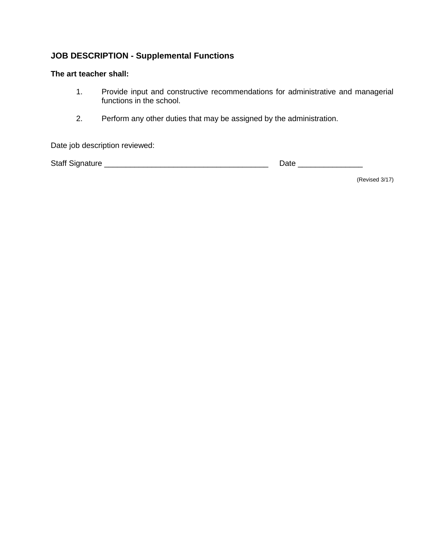## **JOB DESCRIPTION - Supplemental Functions**

#### **The art teacher shall:**

- 1. Provide input and constructive recommendations for administrative and managerial functions in the school.
- 2. Perform any other duties that may be assigned by the administration.

Date job description reviewed:

Staff Signature \_\_\_\_\_\_\_\_\_\_\_\_\_\_\_\_\_\_\_\_\_\_\_\_\_\_\_\_\_\_\_\_\_\_\_\_\_\_ Date \_\_\_\_\_\_\_\_\_\_\_\_\_\_\_

(Revised 3/17)